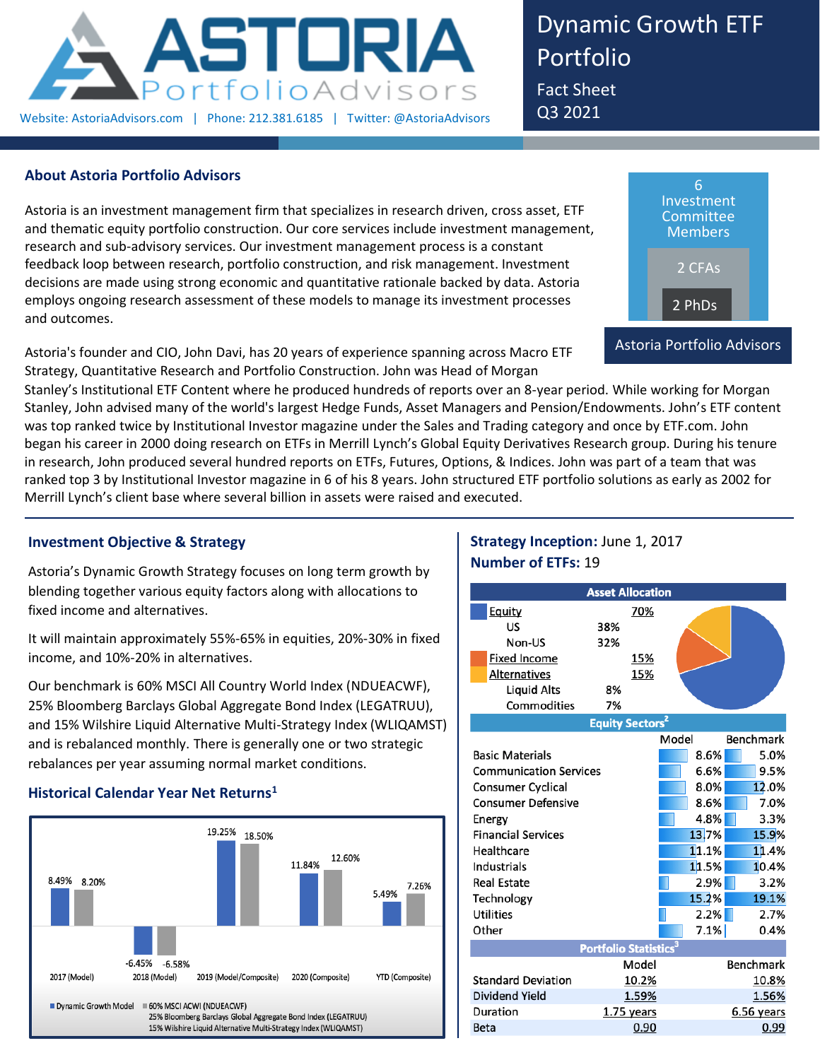

Dynamic Growth ETF Portfolio Fact Sheet

Q3 2021

## **About Astoria Portfolio Advisors**

Astoria is an investment management firm that specializes in research driven, cross asset, ETF and thematic equity portfolio construction. Our core services include investment management, research and sub-advisory services. Our investment management process is a constant feedback loop between research, portfolio construction, and risk management. Investment decisions are made using strong economic and quantitative rationale backed by data. Astoria employs ongoing research assessment of these models to manage its investment processes and outcomes.

Astoria's founder and CIO, John Davi, has 20 years of experience spanning across Macro ETF Strategy, Quantitative Research and Portfolio Construction. John was Head of Morgan



Stanley's Institutional ETF Content where he produced hundreds of reports over an 8-year period. While working for Morgan Stanley, John advised many of the world's largest Hedge Funds, Asset Managers and Pension/Endowments. John's ETF content was top ranked twice by Institutional Investor magazine under the Sales and Trading category and once by ETF.com. John began his career in 2000 doing research on ETFs in Merrill Lynch's Global Equity Derivatives Research group. During his tenure in research, John produced several hundred reports on ETFs, Futures, Options, & Indices. John was part of a team that was ranked top 3 by Institutional Investor magazine in 6 of his 8 years. John structured ETF portfolio solutions as early as 2002 for Merrill Lynch's client base where several billion in assets were raised and executed.

# **Investment Objective & Strategy**

Astoria's Dynamic Growth Strategy focuses on long term growth by blending together various equity factors along with allocations to fixed income and alternatives.

It will maintain approximately 55%-65% in equities, 20%-30% in fixed income, and 10%-20% in alternatives.

Our benchmark is 60% MSCI All Country World Index (NDUEACWF), 25% Bloomberg Barclays Global Aggregate Bond Index (LEGATRUU), and 15% Wilshire Liquid Alternative Multi-Strategy Index (WLIQAMST) and is rebalanced monthly. There is generally one or two strategic rebalances per year assuming normal market conditions.

## **Historical Calendar Year Net Returns<sup>1</sup>**



# **Strategy Inception:** June 1, 2017 **Number of ETFs:** 19

|                               | <b>Asset Allocation</b>           |            |       |       |                  |
|-------------------------------|-----------------------------------|------------|-------|-------|------------------|
| Equity                        |                                   | 70%        |       |       |                  |
| <b>US</b>                     | 38%                               |            |       |       |                  |
| Non-US                        | 32%                               |            |       |       |                  |
| <b>Fixed Income</b>           |                                   | 15%        |       |       |                  |
| Alternatives                  |                                   | 15%        |       |       |                  |
| <b>Liquid Alts</b>            | 8%                                |            |       |       |                  |
| Commodities                   | 7%                                |            |       |       |                  |
|                               | <b>Equity Sectors<sup>2</sup></b> |            |       |       |                  |
|                               |                                   |            | Model |       | <b>Benchmark</b> |
| <b>Basic Materials</b>        |                                   |            |       | 8.6%  | 5.0%             |
| <b>Communication Services</b> |                                   |            |       | 6.6%  | 9.5%             |
| Consumer Cyclical             |                                   |            |       | 8.0%  | 12.0%            |
| <b>Consumer Defensive</b>     |                                   |            |       | 8.6%  | 7.0%             |
| Energy                        |                                   |            |       | 4.8%  | 3.3%             |
| <b>Financial Services</b>     |                                   |            |       | 13.7% | 15.9%            |
| Healthcare                    |                                   |            |       | 11.1% | 11.4%            |
| Industrials                   |                                   |            |       | 11.5% | 10.4%            |
| <b>Real Estate</b>            |                                   |            |       | 2.9%  | 3.2%             |
| Technology                    |                                   |            |       | 15.2% | 19.1%            |
| <b>Utilities</b>              |                                   |            |       | 2.2%  | 2.7%             |
| Other                         |                                   |            |       | 7.1%  | 0.4%             |
|                               | Portfolio Statistics <sup>3</sup> |            |       |       |                  |
|                               |                                   | Model      |       |       | <b>Benchmark</b> |
| <b>Standard Deviation</b>     |                                   | 10.2%      |       |       | 10.8%            |
| Dividend Yield                |                                   | 1.59%      |       |       | 1.56%            |
| Duration                      |                                   | 1.75 years |       |       | 6.56 years       |
| Beta                          |                                   | 0.90       |       |       | 0.99             |
|                               |                                   |            |       |       |                  |